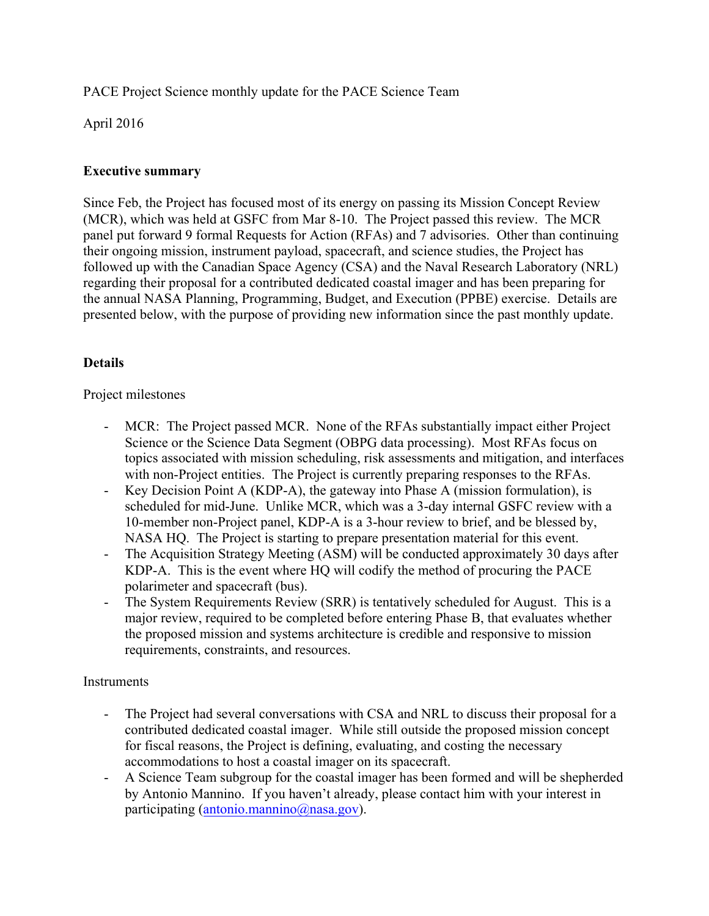PACE Project Science monthly update for the PACE Science Team

April 2016

## **Executive summary**

Since Feb, the Project has focused most of its energy on passing its Mission Concept Review (MCR), which was held at GSFC from Mar 8-10. The Project passed this review. The MCR panel put forward 9 formal Requests for Action (RFAs) and 7 advisories. Other than continuing their ongoing mission, instrument payload, spacecraft, and science studies, the Project has followed up with the Canadian Space Agency (CSA) and the Naval Research Laboratory (NRL) regarding their proposal for a contributed dedicated coastal imager and has been preparing for the annual NASA Planning, Programming, Budget, and Execution (PPBE) exercise. Details are presented below, with the purpose of providing new information since the past monthly update.

# **Details**

## Project milestones

- MCR: The Project passed MCR. None of the RFAs substantially impact either Project Science or the Science Data Segment (OBPG data processing). Most RFAs focus on topics associated with mission scheduling, risk assessments and mitigation, and interfaces with non-Project entities. The Project is currently preparing responses to the RFAs.
- Key Decision Point A (KDP-A), the gateway into Phase A (mission formulation), is scheduled for mid-June. Unlike MCR, which was a 3-day internal GSFC review with a 10-member non-Project panel, KDP-A is a 3-hour review to brief, and be blessed by, NASA HQ. The Project is starting to prepare presentation material for this event.
- The Acquisition Strategy Meeting (ASM) will be conducted approximately 30 days after KDP-A. This is the event where HQ will codify the method of procuring the PACE polarimeter and spacecraft (bus).
- The System Requirements Review (SRR) is tentatively scheduled for August. This is a major review, required to be completed before entering Phase B, that evaluates whether the proposed mission and systems architecture is credible and responsive to mission requirements, constraints, and resources.

## **Instruments**

- The Project had several conversations with CSA and NRL to discuss their proposal for a contributed dedicated coastal imager. While still outside the proposed mission concept for fiscal reasons, the Project is defining, evaluating, and costing the necessary accommodations to host a coastal imager on its spacecraft.
- A Science Team subgroup for the coastal imager has been formed and will be shepherded by Antonio Mannino. If you haven't already, please contact him with your interest in participating (antonio.mannino@nasa.gov).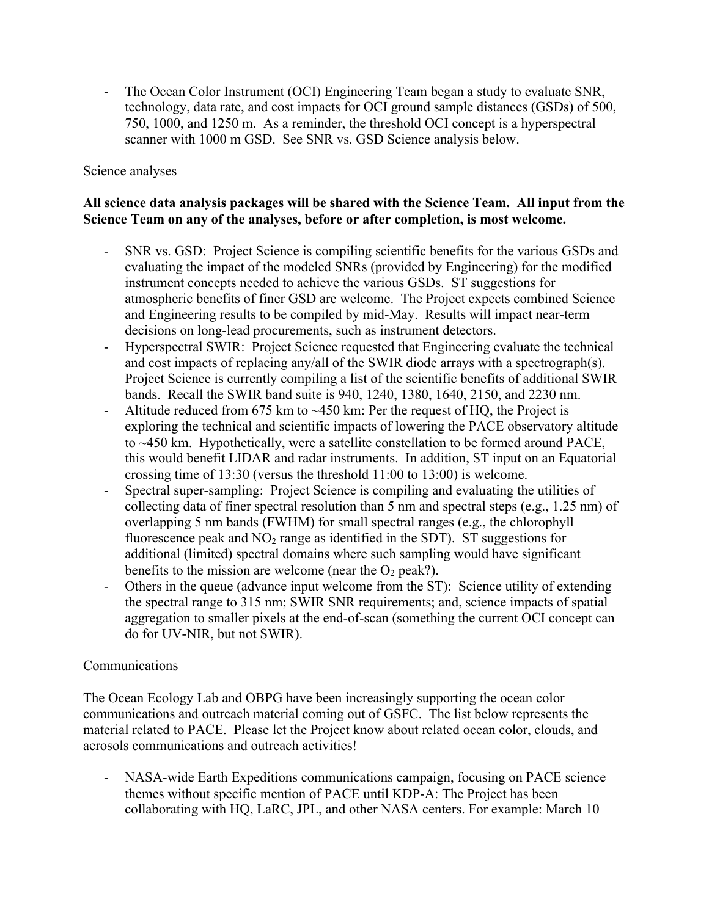- The Ocean Color Instrument (OCI) Engineering Team began a study to evaluate SNR, technology, data rate, and cost impacts for OCI ground sample distances (GSDs) of 500, 750, 1000, and 1250 m. As a reminder, the threshold OCI concept is a hyperspectral scanner with 1000 m GSD. See SNR vs. GSD Science analysis below.

#### Science analyses

## **All science data analysis packages will be shared with the Science Team. All input from the Science Team on any of the analyses, before or after completion, is most welcome.**

- SNR vs. GSD: Project Science is compiling scientific benefits for the various GSDs and evaluating the impact of the modeled SNRs (provided by Engineering) for the modified instrument concepts needed to achieve the various GSDs. ST suggestions for atmospheric benefits of finer GSD are welcome. The Project expects combined Science and Engineering results to be compiled by mid-May. Results will impact near-term decisions on long-lead procurements, such as instrument detectors.
- Hyperspectral SWIR: Project Science requested that Engineering evaluate the technical and cost impacts of replacing any/all of the SWIR diode arrays with a spectrograph(s). Project Science is currently compiling a list of the scientific benefits of additional SWIR bands. Recall the SWIR band suite is 940, 1240, 1380, 1640, 2150, and 2230 nm.
- Altitude reduced from 675 km to ~450 km: Per the request of HQ, the Project is exploring the technical and scientific impacts of lowering the PACE observatory altitude to ~450 km. Hypothetically, were a satellite constellation to be formed around PACE, this would benefit LIDAR and radar instruments. In addition, ST input on an Equatorial crossing time of 13:30 (versus the threshold 11:00 to 13:00) is welcome.
- Spectral super-sampling: Project Science is compiling and evaluating the utilities of collecting data of finer spectral resolution than 5 nm and spectral steps (e.g., 1.25 nm) of overlapping 5 nm bands (FWHM) for small spectral ranges (e.g., the chlorophyll fluorescence peak and  $NO<sub>2</sub>$  range as identified in the SDT). ST suggestions for additional (limited) spectral domains where such sampling would have significant benefits to the mission are welcome (near the  $O_2$  peak?).
- Others in the queue (advance input welcome from the ST): Science utility of extending the spectral range to 315 nm; SWIR SNR requirements; and, science impacts of spatial aggregation to smaller pixels at the end-of-scan (something the current OCI concept can do for UV-NIR, but not SWIR).

#### Communications

The Ocean Ecology Lab and OBPG have been increasingly supporting the ocean color communications and outreach material coming out of GSFC. The list below represents the material related to PACE. Please let the Project know about related ocean color, clouds, and aerosols communications and outreach activities!

- NASA-wide Earth Expeditions communications campaign, focusing on PACE science themes without specific mention of PACE until KDP-A: The Project has been collaborating with HQ, LaRC, JPL, and other NASA centers. For example: March 10